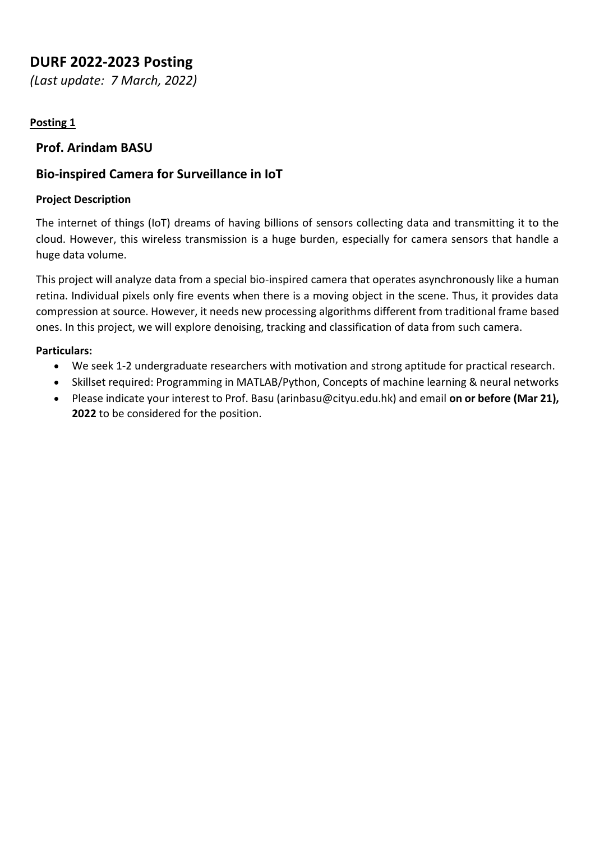# **DURF 2022-2023 Posting**

*(Last update: 7 March, 2022)*

## **Posting 1**

## **Prof. Arindam BASU**

## **Bio-inspired Camera for Surveillance in IoT**

#### **Project Description**

The internet of things (IoT) dreams of having billions of sensors collecting data and transmitting it to the cloud. However, this wireless transmission is a huge burden, especially for camera sensors that handle a huge data volume.

This project will analyze data from a special bio-inspired camera that operates asynchronously like a human retina. Individual pixels only fire events when there is a moving object in the scene. Thus, it provides data compression at source. However, it needs new processing algorithms different from traditional frame based ones. In this project, we will explore denoising, tracking and classification of data from such camera.

#### **Particulars:**

- We seek 1-2 undergraduate researchers with motivation and strong aptitude for practical research.
- Skillset required: Programming in MATLAB/Python, Concepts of machine learning & neural networks
- Please indicate your interest to Prof. Basu (arinbasu@cityu.edu.hk) and email **on or before (Mar 21), 2022** to be considered for the position.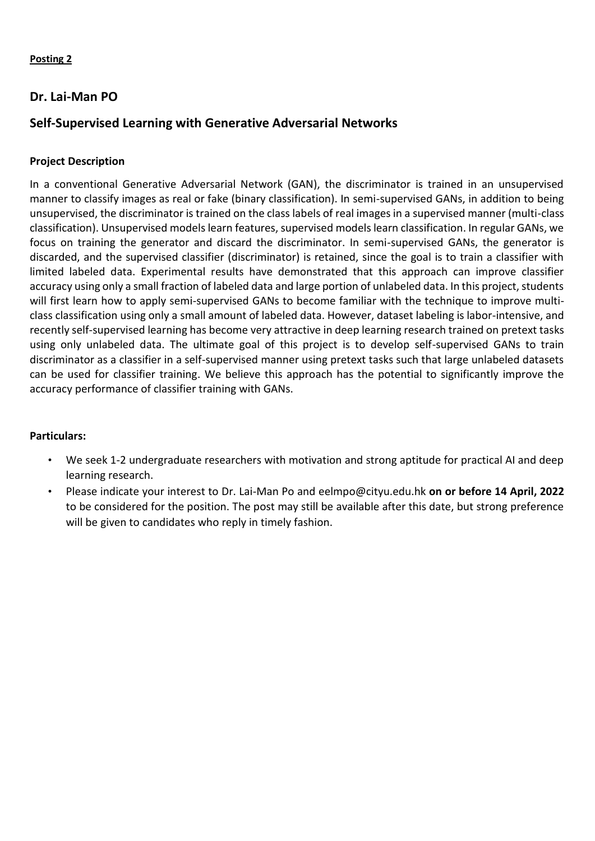### **Dr. Lai-Man PO**

## **Self-Supervised Learning with Generative Adversarial Networks**

#### **Project Description**

In a conventional Generative Adversarial Network (GAN), the discriminator is trained in an unsupervised manner to classify images as real or fake (binary classification). In semi-supervised GANs, in addition to being unsupervised, the discriminator is trained on the class labels of real images in a supervised manner (multi-class classification). Unsupervised models learn features, supervised models learn classification. In regular GANs, we focus on training the generator and discard the discriminator. In semi-supervised GANs, the generator is discarded, and the supervised classifier (discriminator) is retained, since the goal is to train a classifier with limited labeled data. Experimental results have demonstrated that this approach can improve classifier accuracy using only a small fraction of labeled data and large portion of unlabeled data. In this project, students will first learn how to apply semi-supervised GANs to become familiar with the technique to improve multiclass classification using only a small amount of labeled data. However, dataset labeling is labor-intensive, and recently self-supervised learning has become very attractive in deep learning research trained on pretext tasks using only unlabeled data. The ultimate goal of this project is to develop self-supervised GANs to train discriminator as a classifier in a self-supervised manner using pretext tasks such that large unlabeled datasets can be used for classifier training. We believe this approach has the potential to significantly improve the accuracy performance of classifier training with GANs.

#### **Particulars:**

- We seek 1-2 undergraduate researchers with motivation and strong aptitude for practical AI and deep learning research.
- Please indicate your interest to Dr. Lai-Man Po and eelmpo@cityu.edu.hk **on or before 14 April, 2022** to be considered for the position. The post may still be available after this date, but strong preference will be given to candidates who reply in timely fashion.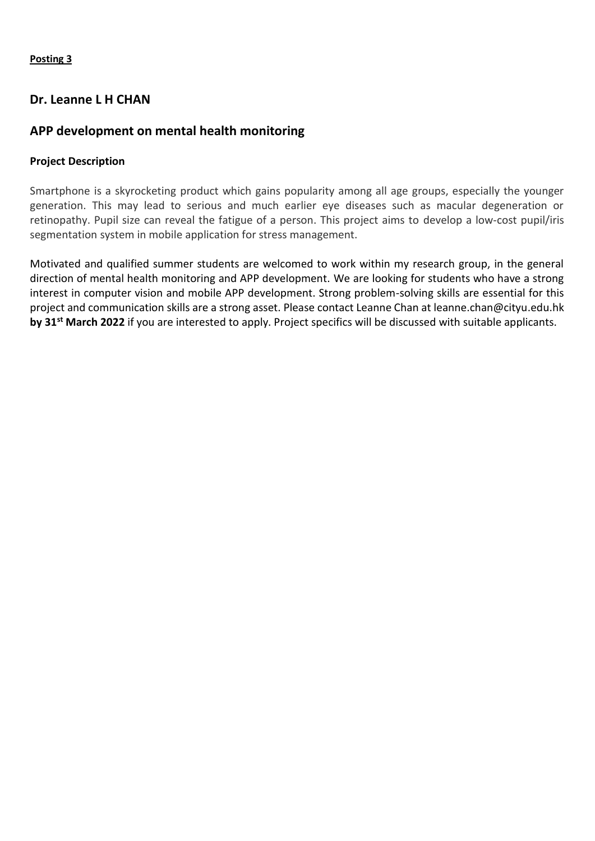#### **Dr. Leanne L H CHAN**

## **APP development on mental health monitoring**

#### **Project Description**

Smartphone is a skyrocketing product which gains popularity among all age groups, especially the younger generation. This may lead to serious and much earlier eye diseases such as macular degeneration or retinopathy. Pupil size can reveal the fatigue of a person. This project aims to develop a low-cost pupil/iris segmentation system in mobile application for stress management.

Motivated and qualified summer students are welcomed to work within my research group, in the general direction of mental health monitoring and APP development. We are looking for students who have a strong interest in computer vision and mobile APP development. Strong problem-solving skills are essential for this project and communication skills are a strong asset. Please contact Leanne Chan at leanne.chan@cityu.edu.hk **by 31st March 2022** if you are interested to apply. Project specifics will be discussed with suitable applicants.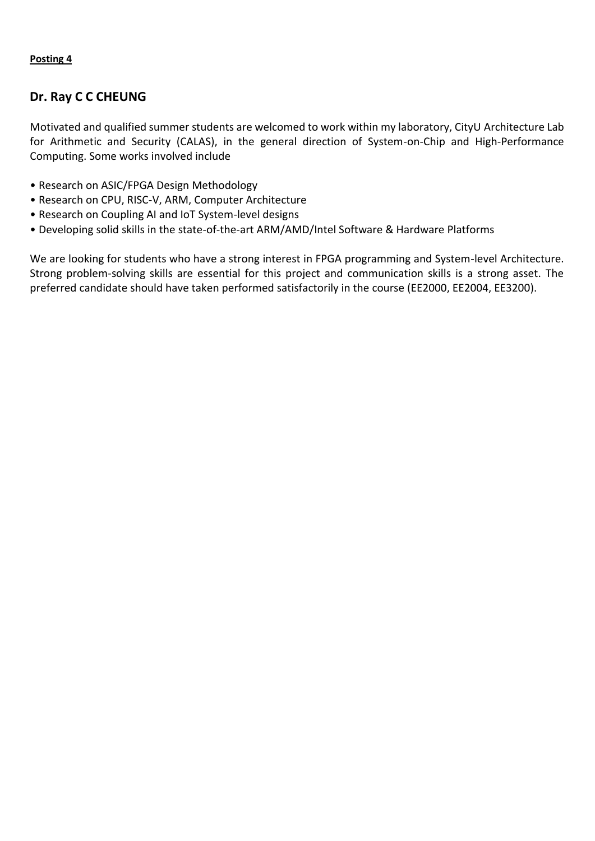## **Dr. Ray C C CHEUNG**

Motivated and qualified summer students are welcomed to work within my laboratory, CityU Architecture Lab for Arithmetic and Security (CALAS), in the general direction of System-on-Chip and High-Performance Computing. Some works involved include

- Research on ASIC/FPGA Design Methodology
- Research on CPU, RISC-V, ARM, Computer Architecture
- Research on Coupling AI and IoT System-level designs
- Developing solid skills in the state-of-the-art ARM/AMD/Intel Software & Hardware Platforms

We are looking for students who have a strong interest in FPGA programming and System-level Architecture. Strong problem-solving skills are essential for this project and communication skills is a strong asset. The preferred candidate should have taken performed satisfactorily in the course (EE2000, EE2004, EE3200).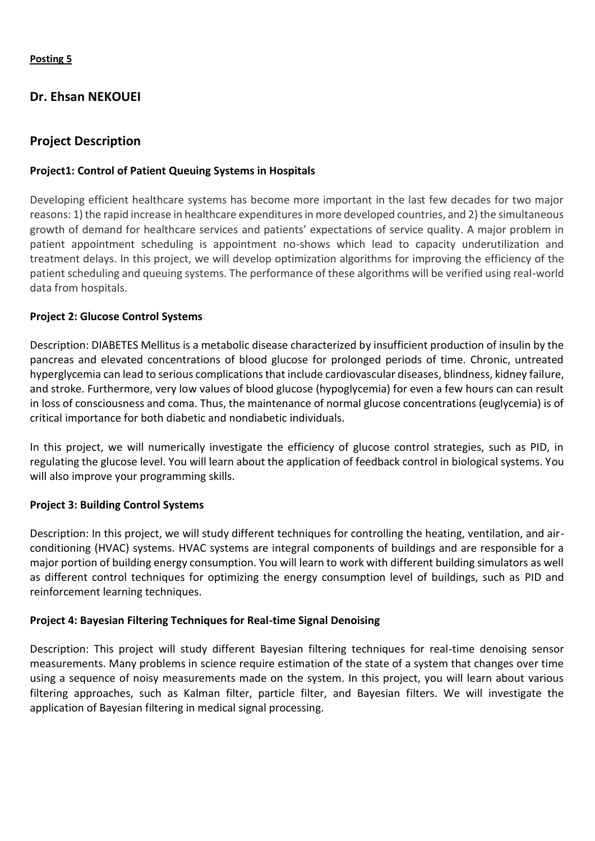## **Dr. Ehsan NEKOUEI**

## **Project Description**

#### **Project1: Control of Patient Queuing Systems in Hospitals**

Developing efficient healthcare systems has become more important in the last few decades for two major reasons: 1) the rapid increase in healthcare expenditures in more developed countries, and 2) the simultaneous growth of demand for healthcare services and patients' expectations of service quality. A major problem in patient appointment scheduling is appointment no-shows which lead to capacity underutilization and treatment delays. In this project, we will develop optimization algorithms for improving the efficiency of the patient scheduling and queuing systems. The performance of these algorithms will be verified using real-world data from hospitals.

#### **Project 2: Glucose Control Systems**

Description: DIABETES Mellitus is a metabolic disease characterized by insufficient production of insulin by the pancreas and elevated concentrations of blood glucose for prolonged periods of time. Chronic, untreated hyperglycemia can lead to serious complications that include cardiovascular diseases, blindness, kidney failure, and stroke. Furthermore, very low values of blood glucose (hypoglycemia) for even a few hours can can result in loss of consciousness and coma. Thus, the maintenance of normal glucose concentrations (euglycemia) is of critical importance for both diabetic and nondiabetic individuals.

In this project, we will numerically investigate the efficiency of glucose control strategies, such as PID, in regulating the glucose level. You will learn about the application of feedback control in biological systems. You will also improve your programming skills.

#### **Project 3: Building Control Systems**

Description: In this project, we will study different techniques for controlling the heating, ventilation, and airconditioning (HVAC) systems. HVAC systems are integral components of buildings and are responsible for a major portion of building energy consumption. You will learn to work with different building simulators as well as different control techniques for optimizing the energy consumption level of buildings, such as PID and reinforcement learning techniques.

#### **Project 4: Bayesian Filtering Techniques for Real-time Signal Denoising**

Description: This project will study different Bayesian filtering techniques for real-time denoising sensor measurements. Many problems in science require estimation of the state of a system that changes over time using a sequence of noisy measurements made on the system. In this project, you will learn about various filtering approaches, such as Kalman filter, particle filter, and Bayesian filters. We will investigate the application of Bayesian filtering in medical signal processing.